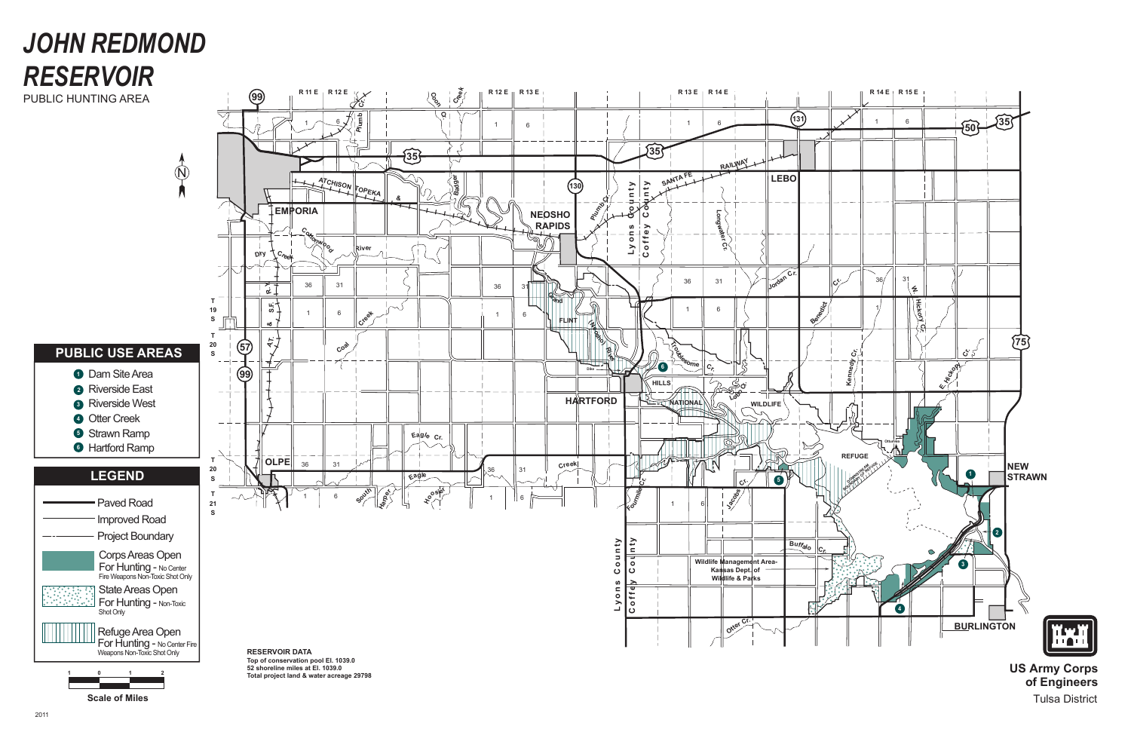**Otte<sup>r</sup> <sup>C</sup><sup>r</sup>.**

င်  $\geq$ 







**II**



**US Army Corps of Engineers** Tulsa District

# *JOHN REDMOND RESERVOIR*

 $\oint$ 

PUBLIC HUNTING AREA

**1 0 1 2**

### **PUBLIC USE AREAS**

- **1** Dam Site Area
- Riverside East **2**
- Riverside West **3**
- **4** Otter Creek
- **5** Strawn Ramp
- **6** Hartford Ramp

**RESERVOIR DATA Top of conservation pool El. 1039.0 52 shoreline miles at El. 1039.0 Total project land & water acreage 29798**

**Scale of Miles**

**For Hunting -** No Center Fire<br>Weapons Non-Toxic Shot Only